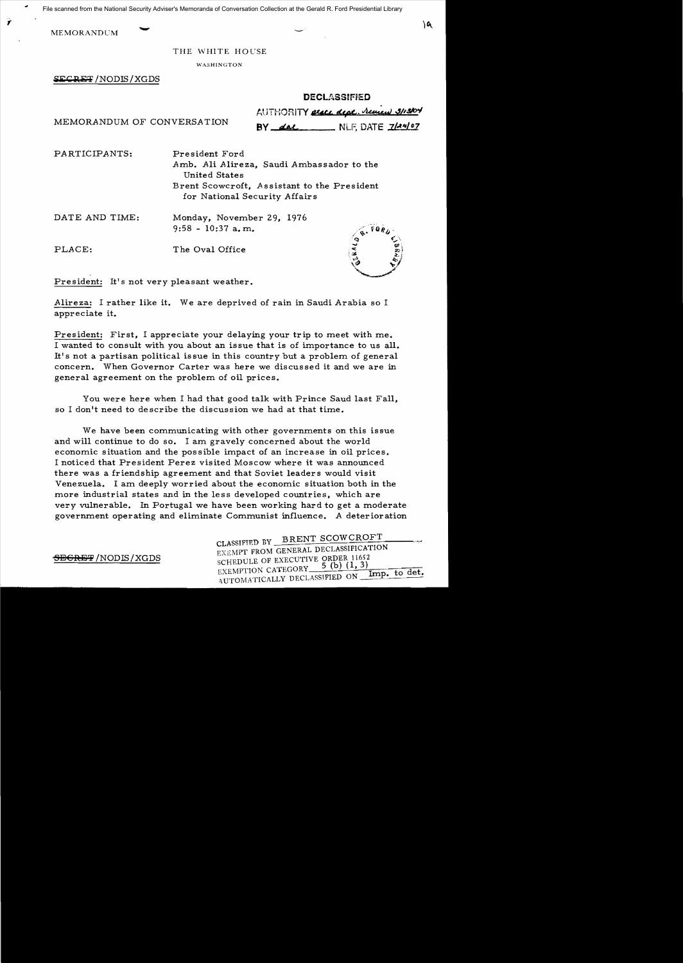File scanned from the National Security Adviser's Memoranda of Conversation Collection at the Gerald R. Ford Presidential Library

MEMORANDUM

1

THE WHITE HOUSE

WASHINGTON

SECRET / NODIS / XGDS

|      | <b>DECLASSIFIED</b>                  |
|------|--------------------------------------|
| じへへて | AUTHORITY erace dept. Remain 3/13/04 |

MEMORANDUM OF CONVERSATION **BY dal.** NLF, DATE 7/24/07

PARTICIPANTS: President Ford

Amb. Ali Alireza, Saudi Ambassador to the United States Brent Scowcroft, Assistant to the President for National Security Affairs

DATE AND TIME: Monday, November 29, 1976 9:58 - 10:37 a. m.

PLACE: The Oval Office



President: It's not very pleasant weather.

Alireza: I rather like it. We are deprived of rain in Saudi Arabia so I appreciate it.

President: First, I appreciate your delaying your trip to meet with me. I wanted to consult with you about an issue that is of importance to us all. It's not a partisan political is sue in this country but a problem of general concern. When Governor Carter was here we discussed it and we are in general agreement on the problem of oil prices.

You were here when I had that good talk with Prince Saud last Fall. so I don't need to describe the discussion we had at that time.

We have been communicating with other governments on this issue and will continue to do so. I am gravely concerned about the world economic situation and the possible impact of an increase in oil prices. I noticed that President Perez visited Moscow where it was announced there was a friendship agreement and that Soviet leaders would visit Venezuela. I am deeply worried about the economic situation both in the more industrial states and in the less developed countries. which are very vulnerable. In Portugal we have been working hard to get a moderate government operating and eliminate Communist influence. A deterioration

CLASSIFIED BY BRENT SCOWCROFT EXEMPT FROM GENERAL DECLASSIFICATION  $\frac{\text{SEERET}}{\text{NOTE}}$  /NODIS/XGDS schepule of executive order 11652 EXEMPTION CATEGORY  $=$  5 (b) (1, 3)<br>AUTOMATICALLY DECLASSIFIED ON  $\frac{$  Imp. to det.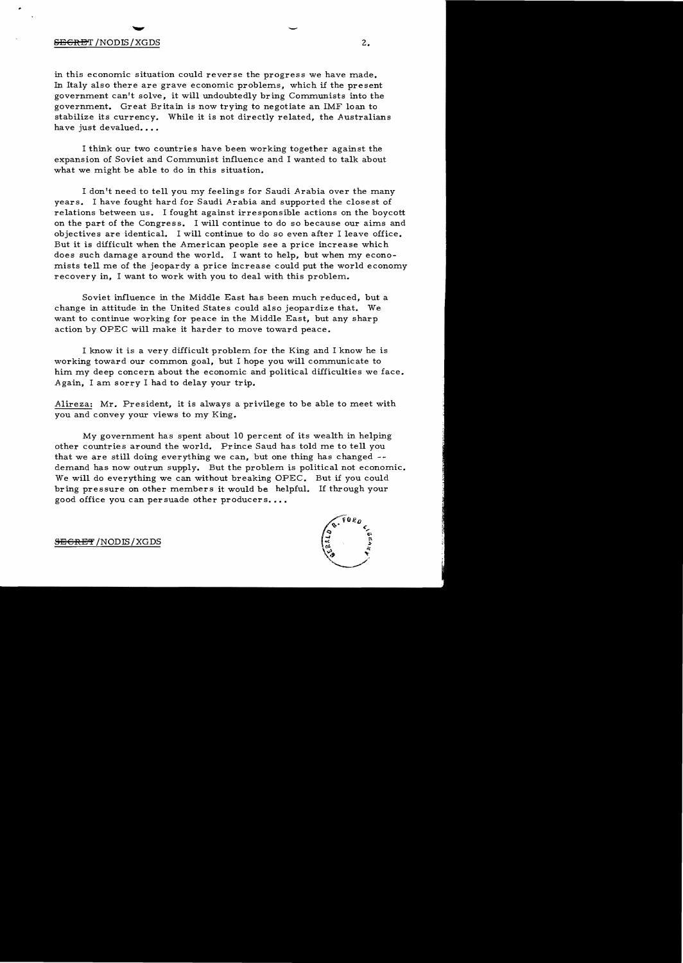#### $\overline{\text{SEER}}$  /NODIS/XGDS  $2.$

in this economic situation could reverse the progress we have made. In Italy also there are grave economic problems, which if the present government can't solve, it will undoubtedly bring Communists into the government. Great Britain is now trying to negotiate an IMF loan to stabilize its currency. While it is not directly related, the Australians have just devalued....

I think our two countries have been working together against the expansion of Soviet and Communist influence and I wanted to talk about what we might be able to do in this situation.

I don't need to tell you my feelings for Saudi Arabia over the many years. I have fought hard for Saudi Arabia and supported the closest of relations between us. I fought against irresponsible actions on the boycott on the part of the Congress. I will continue to do so because our aims and objectives are identical. I will continue to do so even after I leave office. But it is difficult when the American people see a price increase which does such damage around the world. I want to help, but when my economists tell me of the jeopardy a price increase could put the world economy recovery in, I want to work with you to deal with this problem.

Soviet influence in the Middle East has been much reduced, but a change in attitude in the United States could also jeopardize that. We want to continue working for peace in the Middle East, but any sharp action by OPEC will make it harder to move toward peace.

I know it is a very difficult problem for the King and I know he is working toward our common goal, but I hope you will communicate to him my deep concern about the economic and political difficulties we face. Again, I am sorry I had to delay your trip.

Alireza: Mr. President, it is always a privilege to be able to meet with you and convey your views to my King.

My government has spent about 10 percent of its wealth in helping other countries around the world. Prince Saud has told me to tell you that we are still doing everything we can, but one thing has changed demand has now outrun supply. But the problem is political not economic. We will do everything we can without breaking OPEC. But if you could bring pressure on other members it would be helpful. If through your good office you can persuade other producers...



<del>SECRET</del> /NODIS / XGDS

-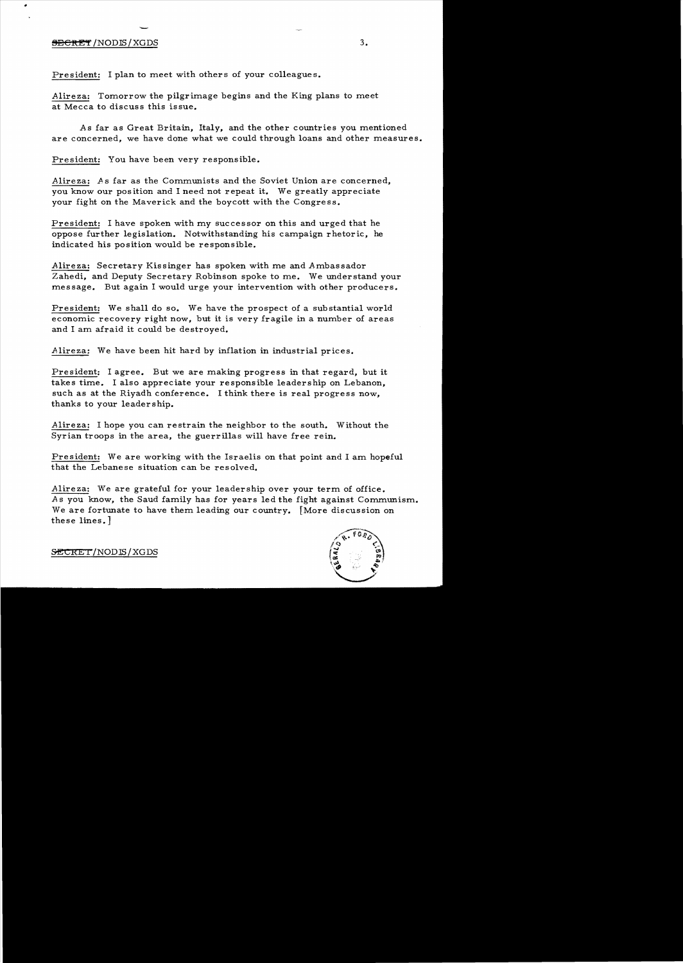# - $\overline{\text{SEERET}}$  /NODIS / XGDS  $3.$

President: I plan to meet with others of your colleagues.

Alireza: Tomorrow the pilgrimage begins and the King plans to meet at Mecca to discuss this issue.

As far as Great Britain, Italy, and the other countries you mentioned are concerned, we have done what we could through loans and other measures.

President: You have been very responsible.

Alireza: As far as the Communists and the Soviet Union are concerned, you know our position and I need not repeat it. We greatly appreciate your fight on the Maverick and the boycott with the Congress.

President: I have spoken with my successor on this and urged that he oppose further legislation. Notwithstanding his campaign rhetoric, he indicated his position would be responsible.

Alireza: Secretary Kissinger has spoken with me and Ambassador Zahedi, and Deputy Secretary Robinson spoke to me. We understand your message. But again I would urge your intervention with other producers.

President: We shall do so. We have the prospect of a substantial world economic recovery right now, but it is very fragile in a number of areas and I am afraid it could be destroyed.

Alireza: We have been hit hard by inflation in industrial prices.

President: I agree. But we are making progress in that regard, but it takes time. I also appreciate your responsible leadership on Lebanon, such as at the Riyadh conference. I think there is real progress now, thanks to your leadership.

Alireza: I hope you can restrain the neighbor to the south. Without the Syrian troops in the area, the guerrillas will have free rein.

President: We are working with the Israelis on that point and I am hopeful that the Lebanese situation can be resolved.

Alireza: We are grateful for your leadership over your term of office. As you know, the Saud family has for years led the fight against Communism. We are fortunate to have them leading our country. [More discussion on these lines. J



SECRET/NODIS/XGDS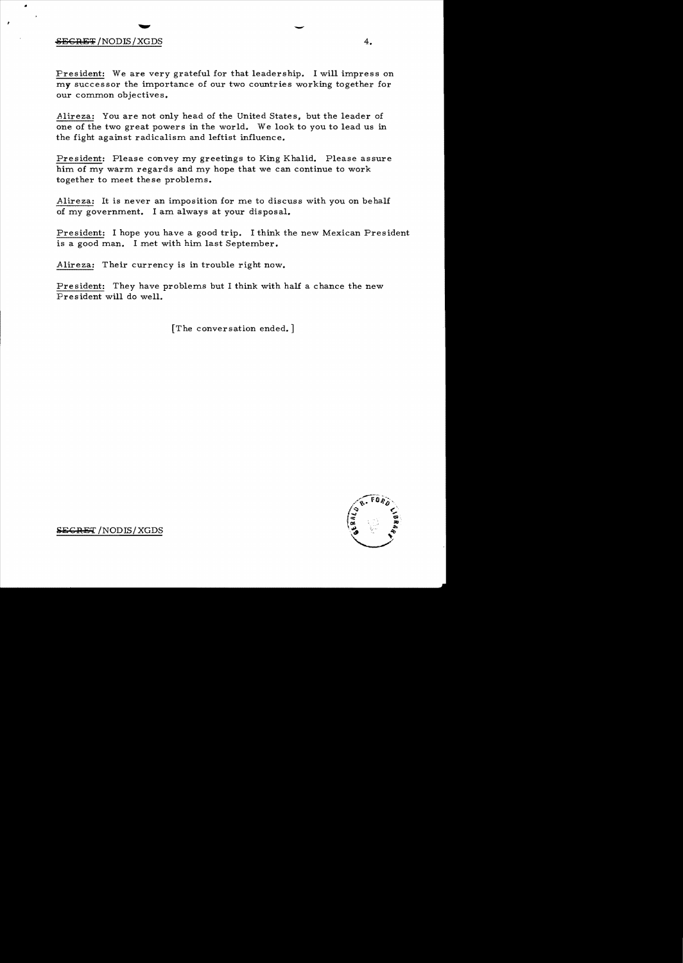## $\overline{\text{SEGREF}}$  / NODIS / XGDS 4.

President: We are very grateful for that leadership. I will impress on my successor the importance of our two countries working together for our common objectives.

Alireza: You are not only head of the United States, but the leader of one of the two great powers in the world. We look to you to lead us in the fight against radicalism and leftist influence.

President: Please convey my greetings to King Khalid. Please assure him of my warm regards and my hope that we can continue to work together to meet these problems.

Alireza: It is never an imposition for me to discuss with you on behalf of my government. I am always at your disposal.

President: I hope you have a good trip. I think the new Mexican President is a good man. I met with him last September.

Alireza: Their currency is in trouble right now.

President: They have problems but I think with half a chance the new President will do well.

[The conversation ended. ]



**SECRET** /NODIS/XGDS

-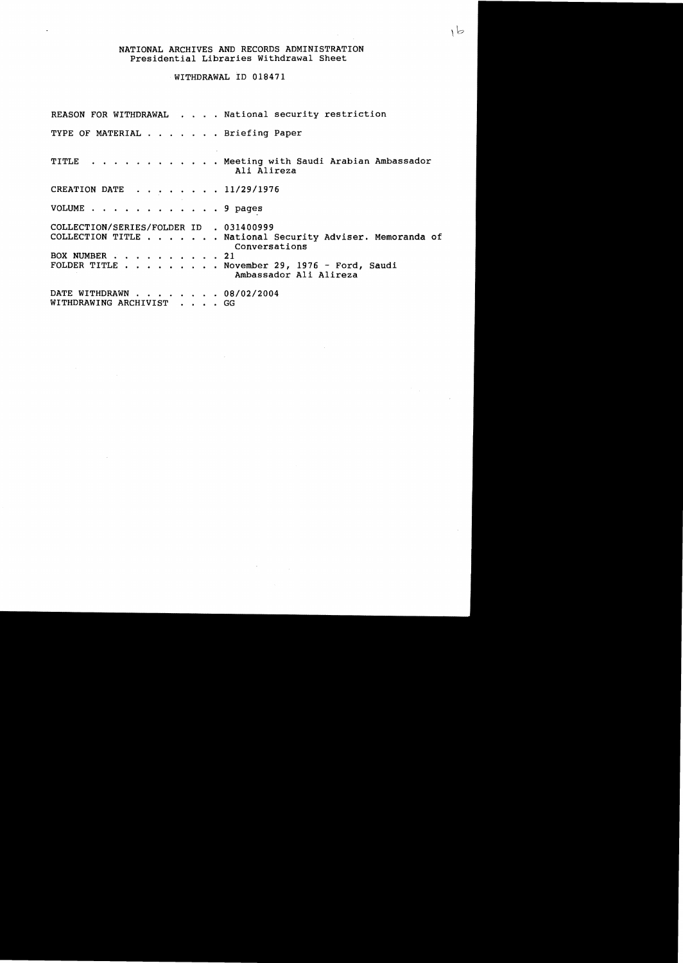#### NATIONAL ARCHIVES AND RECORDS ADMINISTRATION Presidential Libraries Withdrawal Sheet

#### WITHDRAWAL ID 018471

REASON FOR WITHDRAWAL . . . . National security restriction TYPE OF MATERIAL . . . . . . Briefing Paper TITLE . . . . . . . . . . . Meeting with Saudi Arabian Ambassador Ali Alireza CREATION DATE . . . . . . . 11/29/1976 VOLUME . . . . . . . . . . . . 9 pages COLLECTION/SERIES/FOLDER ID . 031400999 COLLECTION TITLE . . . . . . National Security Adviser. Memoranda of Conversations BOX NUMBER . . . . . . . . . 21 FOLDER TITLE  $\ldots$  . . . . . . November 29, 1976 - Ford, Saudi Ambassador Ali Alireza DATE WITHDRAWN . . . . . . . 08/02/2004 WITHDRAWING ARCHIVIST . . . . GG